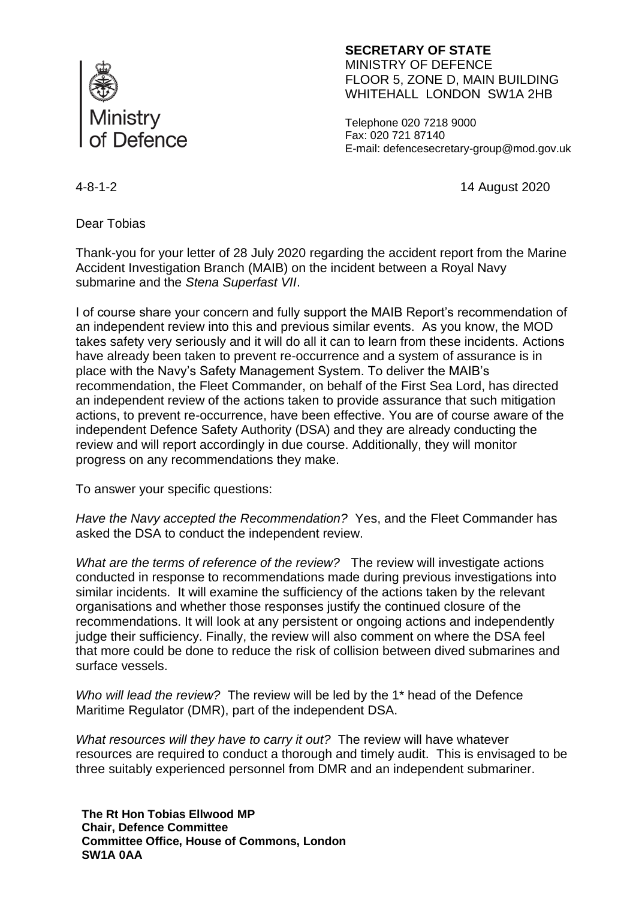

## **SECRETARY OF STATE** MINISTRY OF DEFENCE FLOOR 5, ZONE D, MAIN BUILDING WHITEHALL LONDON SW1A 2HB

Telephone 020 7218 9000 Fax: 020 721 87140 E-mail: defencesecretary-group@mod.gov.uk

4-8-1-2 14 August 2020

Dear Tobias

Thank-you for your letter of 28 July 2020 regarding the accident report from the Marine Accident Investigation Branch (MAIB) on the incident between a Royal Navy submarine and the *Stena Superfast VII*.

I of course share your concern and fully support the MAIB Report's recommendation of an independent review into this and previous similar events. As you know, the MOD takes safety very seriously and it will do all it can to learn from these incidents. Actions have already been taken to prevent re-occurrence and a system of assurance is in place with the Navy's Safety Management System. To deliver the MAIB's recommendation, the Fleet Commander, on behalf of the First Sea Lord, has directed an independent review of the actions taken to provide assurance that such mitigation actions, to prevent re-occurrence, have been effective. You are of course aware of the independent Defence Safety Authority (DSA) and they are already conducting the review and will report accordingly in due course. Additionally, they will monitor progress on any recommendations they make.

To answer your specific questions:

*Have the Navy accepted the Recommendation?* Yes, and the Fleet Commander has asked the DSA to conduct the independent review.

*What are the terms of reference of the review?* The review will investigate actions conducted in response to recommendations made during previous investigations into similar incidents. It will examine the sufficiency of the actions taken by the relevant organisations and whether those responses justify the continued closure of the recommendations. It will look at any persistent or ongoing actions and independently judge their sufficiency. Finally, the review will also comment on where the DSA feel that more could be done to reduce the risk of collision between dived submarines and surface vessels.

*Who will lead the review?* The review will be led by the 1\* head of the Defence Maritime Regulator (DMR), part of the independent DSA.

*What resources will they have to carry it out?* The review will have whatever resources are required to conduct a thorough and timely audit. This is envisaged to be three suitably experienced personnel from DMR and an independent submariner.

**The Rt Hon Tobias Ellwood MP Chair, Defence Committee Committee Office, House of Commons, London SW1A 0AA**